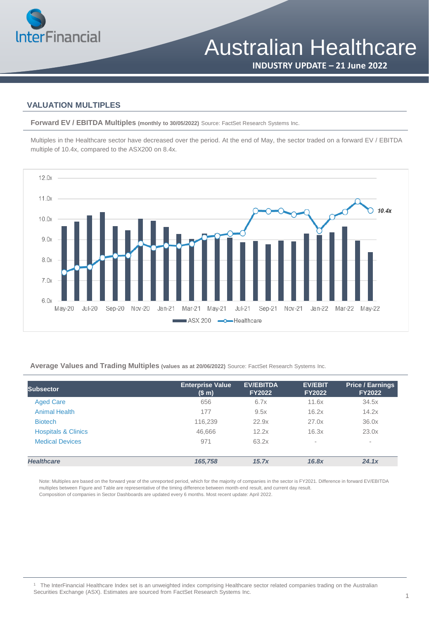

**INDUSTRY UPDATE – 21 June 2022**

#### **VALUATION MULTIPLES**

**Forward EV / EBITDA Multiples (monthly to 30/05/2022)** Source: FactSet Research Systems Inc.

Multiples in the Healthcare sector have decreased over the period. At the end of May, the sector traded on a forward EV / EBITDA multiple of 10.4x, compared to the ASX200 on 8.4x.



**Average Values and Trading Multiples (values as at 20/06/2022)** Source: FactSet Research Systems Inc.

| <b>Subsector</b>               | <b>Enterprise Value</b><br>(\$m) | <b>EV/EBITDA</b><br><b>FY2022</b> | <b>EV/EBIT</b><br><b>FY2022</b> | <b>Price / Earnings</b><br><b>FY2022</b> |
|--------------------------------|----------------------------------|-----------------------------------|---------------------------------|------------------------------------------|
| <b>Aged Care</b>               | 656                              | 6.7x                              | 11.6x                           | 34.5x                                    |
| <b>Animal Health</b>           | 177                              | 9.5x                              | 16.2x                           | 14.2x                                    |
| <b>Biotech</b>                 | 116,239                          | 22.9x                             | 27.0x                           | 36.0x                                    |
| <b>Hospitals &amp; Clinics</b> | 46,666                           | 12.2x                             | 16.3x                           | 23.0x                                    |
| <b>Medical Devices</b>         | 971                              | 63.2x                             | $\sim$                          | $\overline{\phantom{a}}$                 |
| <b>Healthcare</b>              | 165.758                          | 15.7x                             | 16.8x                           | 24.1x                                    |

Note: Multiples are based on the forward year of the unreported period, which for the majority of companies in the sector is FY2021. Difference in forward EV/EBITDA multiples between Figure and Table are representative of the timing difference between month-end result, and current day result. Composition of companies in Sector Dashboards are updated every 6 months. Most recent update: April 2022.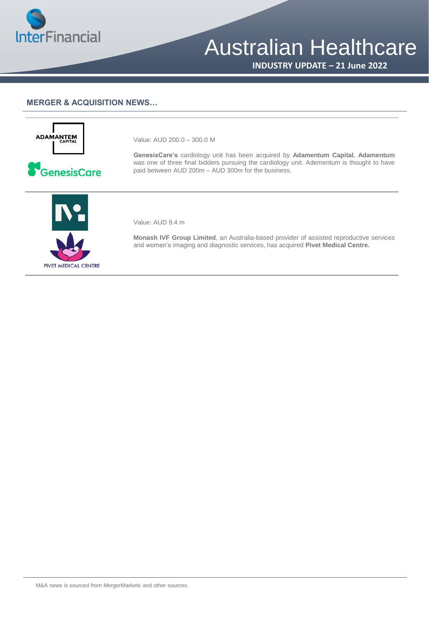

# Australian Healthcare

**INDUSTRY UPDATE – 21 June 2022**

#### **MERGER & ACQUISITION NEWS…**



GenesisCare

Value: AUD 200.0 – 300.0 M

**GenesisCare's** cardiology unit has been acquired by **Adamentum Capital. Adamentum** was one of three final bidders pursuing the cardiology unit. Adementum is thought to have paid between AUD 200m – AUD 300m for the business.



Value: AUD 9.4 m

**Monash IVF Group Limited**, an Australia-based provider of assisted reproductive services and women's imaging and diagnostic services, has acquired **Pivet Medical Centre.**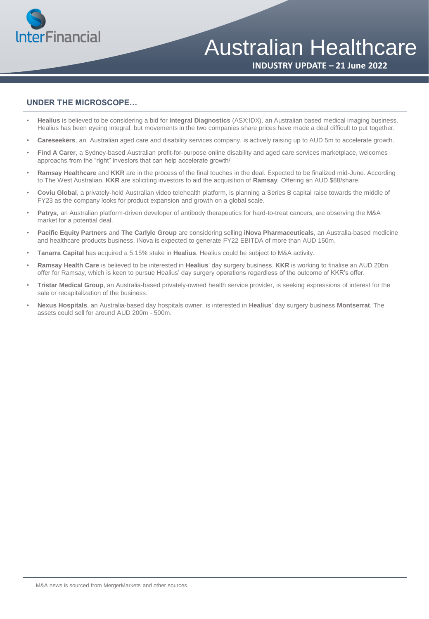

### Australian Healthcare

**INDUSTRY UPDATE – 21 June 2022**

#### **UNDER THE MICROSCOPE…**

- **Healius** is believed to be considering a bid for **Integral Diagnostics** (ASX:IDX), an Australian based medical imaging business. Healius has been eyeing integral, but movements in the two companies share prices have made a deal difficult to put together.
- **Careseekers**, an Australian aged care and disability services company, is actively raising up to AUD 5m to accelerate growth.
- **Find A Carer**, a Sydney-based Australian profit-for-purpose online disability and aged care services marketplace, welcomes approachs from the "right" investors that can help accelerate growth/
- **Ramsay Healthcare** and **KKR** are in the process of the final touches in the deal. Expected to be finalized mid-June. According to The West Australian, **KKR** are soliciting investors to aid the acquisition of **Ramsay**. Offering an AUD \$88/share.
- **Coviu Global**, a privately-held Australian video telehealth platform, is planning a Series B capital raise towards the middle of FY23 as the company looks for product expansion and growth on a global scale.
- **Patrys**, an Australian platform-driven developer of antibody therapeutics for hard-to-treat cancers, are observing the M&A market for a potential deal.
- **Pacific Equity Partners** and **The Carlyle Group** are considering selling **iNova Pharmaceuticals**, an Australia-based medicine and healthcare products business. iNova is expected to generate FY22 EBITDA of more than AUD 150m.
- **Tanarra Capital** has acquired a 5.15% stake in **Healius**. Healius could be subject to M&A activity.
- **Ramsay Health Care** is believed to be interested in **Healius**' day surgery business. **KKR** is working to finalise an AUD 20bn offer for Ramsay, which is keen to pursue Healius' day surgery operations regardless of the outcome of KKR's offer.
- **Tristar Medical Group**, an Australia-based privately-owned health service provider, is seeking expressions of interest for the sale or recapitalization of the business.
- **Nexus Hospitals**, an Australia-based day hospitals owner, is interested in **Healius**' day surgery business **Montserrat**. The assets could sell for around AUD 200m - 500m.